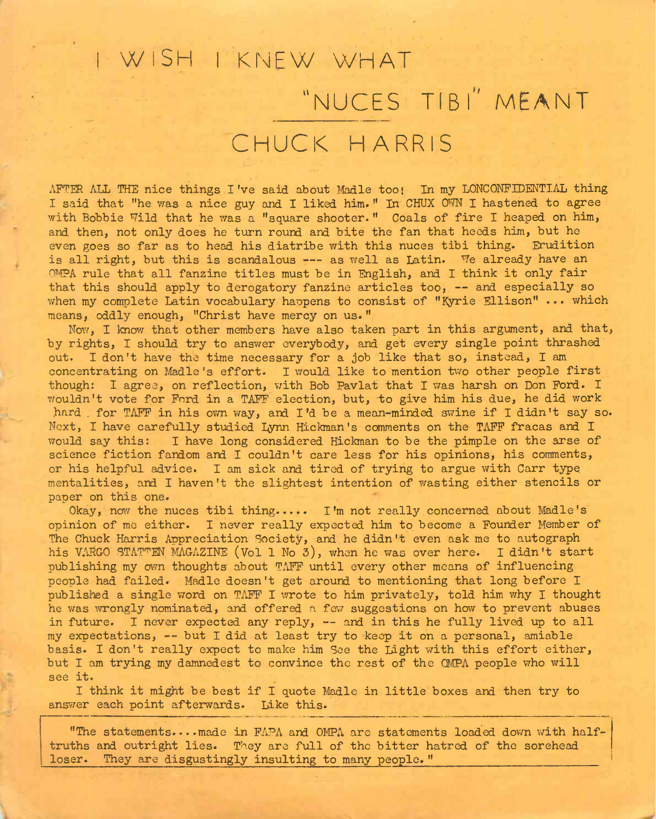## <sup>I</sup> WISH <sup>I</sup> KNEW WHAT "NUCES TIB l" MEANT CHUCK HARRIS

AFTER ALL THE nice things I've said about Madle too; In my LÕNCONFIDENTIAL thing I said that "he was a nice guy and I liked him. " In CHUX OWN I hastened to agree with Bobbie Wild that he was a "square shooter." Coals of fire I heaped on him, and then, not only does he turn round and bite the fan that heeds him, but he even goes so far as to head his diatribe with this nuces tibi thing. Erudition is all right, but this is scandalous --- as well as Latin. We already have an OMPA rule that all fanzine titles must be in English, and I think it only fair that this should apply to derogatory fanzine articles too, — and especially so when my complete Latin vocabulary happens to consist of "Kyrie Ellison" ... which means, oddly enough, "Christ have mercy on us."

Now, I know that other members have also taken part in this argument, and that, by rights, I should try to answer everybody, and get every single point thrashed out. I don't have the time necessary for a job like that so, instead, I am concentrating on Madle's effort. I would like to mention two other people first though: I agree, on reflection, with Bob Pavlat that I was harsh on Don Ford. I wouldn't vote for Ford in a TAFF election, but, to give him his due, he did work hard . for TAFF in his own way, and I'd be a mean-minded swine if I didn't say so. Next, I have carefully studied Lynn Hickman's comments on the TAFF fracas and I would say this: I have long considered Hickman to be the pimple on the arse of science fiction fandom and I couldn't care less for his opinions, his comments, or his helpful advice. I am sick and tired of trying to argue with Carr type, mentalities, and I haven't the slightest intention of wasting either stencils or paper on this one.

Okay, now the nuces tibi thing..... I'm not really concerned about Madle's opinion of me either. I never really expected him to become a Founder Member of The Chuck Harris Appreciation Society, and he didn't even ask me to autograph his VARGO STATTEN MAGAZINE (Vol 1 No 3), when he was over here. I didn't start publishing my own thoughts about TAFF until every other means of influencing people had failed. Madle doesn't get around to mentioning that long before I published a single word on TAFF I wrote to him privately, told him why I thought he was wrongly nominated, and offered a few suggestions on how to prevent abuses in future. I never expected any reply, — and in this he fully lived up to all my expectations, — but I did at least try to keep it on <sup>a</sup> personal, amiable basis. I don't really expect to make him See the Light with this effort either, but I am trying my damnedest to convince the rest of the CMPA people who will see it.

I think it might be best if I quote Madle in little boxes and then try to answer each point afterwards. Like this.

"The statements.—made in FAPA and CMPA are statements loaded down with halftruths and outright lies. They are full of the bitter hatred of the sorehead loser. They are disgustingly insulting to many people."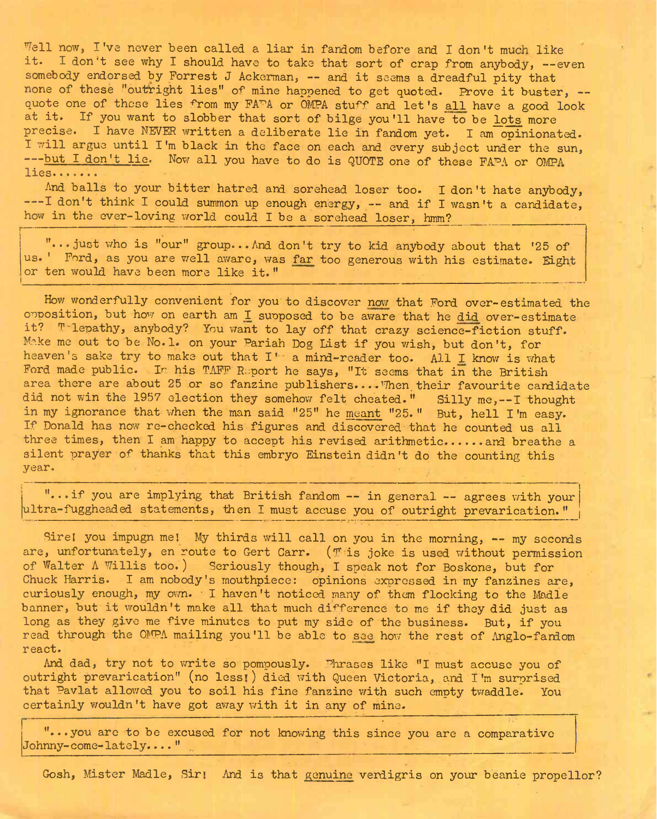Well now, I've never been called a liar in fandom before and I don't much like it. I don't see why I should have to take that sort of crap from anybody, --even somebody endorsed by Forrest J Ackerman, -- and it seems a dreadful pity that none of these "outright lies" of mine happened to get quoted. Prove it buster, -quote one of these lies from my FA<sup>TA</sup> or OMPA stuff and let's all have a good look at it. If you want to slobber that sort of bilge you'll have to be lots more precise. I have NEVER written a deliberate lie in fandom yet. I am opinionated. I will argue until I'm black in the face on each and every subject under the sun, ---but I don't lie. Now all you have to do is QUOTE one of these FAPA or OMPA lies.......

And balls to your bitter hatred and sorehead loser too. I don't hate anybody, ---I don't think I could summon up enough energy, -- and if I wasn't a candidate, how in the ever-loving world could I be a sorehead loser, hmm?

"...just who is "our" group...And don't try to kid anybody about that '25 of us. ' Ford, as you are well aware, was far too generous with his estimate. Eight or ten would have been more like it."

Tell now, I've nower been called a line in finding before and I don't is it. I don't see Wh Peshoul at it is in finding before and i don't experime an one of these but<br>significations in the second in the set of the set of How wonderfully convenient for you to discover now that Ford over-estimated the opposition, but how on earth am I supposed to be aware that he did over-estimate it? T-lepathy, anybody? You want to lay off that crazy science-fiction stuff. Make me out to be No. 1. on your Pariah Dog List if you wish, but don't, for heaven's sake try to make out that I' a mind-reader too. All I know is what Ford made public. In his TAFF Report he says, "It seems that in the British area there are about 25 or so fanzine publishers.... Then their favourite candidate did not win the 1957 election they somehow felt cheated." Silly me,--I thought in my ignorance that when the man said "25" he meant "25." But, hell I'm easy. If Donald has now re-checked his figures and discovered•that he counted us all three times, then I am happy to accept his revised arithmetic...... and breathe a silent prayer of thanks that this embryo Einstein didn't do the counting this year.

"...if you are implying that British fandom -- in general — agrees with your ultra-fuggheaded statements, then I must accuse you of outright prevarication. "

Sirel you impugn me! My thirds will call on you in the morning, -- my seconds are, unfortunately, en route to Gert Carr. (This joke is used without permission of Walter <sup>A</sup> Willis too.) Seriously though, I speak not for Boskone, but for Chuck Harris. I am nobody's mouthpiece: opinions expressed in my fanzines are, curiously enough, my own. I haven't noticed many of them flocking to the Madle banner, but it wouldn't make all that much difference to me if they did just as long as they give me five minutes to put my side of the business. But, if you read through the OMPA mailing you'll be able to see how the rest of Anglo-fandom react.

And dad, try not to write so pompously. Phrases like "I must accuse you of outright prevarication" (no less») died with Queen Victoria, and I'm surprised that Pavlat allowed you to soil his fine fanzine with such empty twaddle. You certainly wouldn't have got away with it in any of mine.

"...you are to be excused for not knowing this since you are a comparative with the excussed for not knowing this since you are a comparate dombar comparate detection..."

Gosh, Mister Madle, Sir» And is that genuine verdigris on your beanie propellor?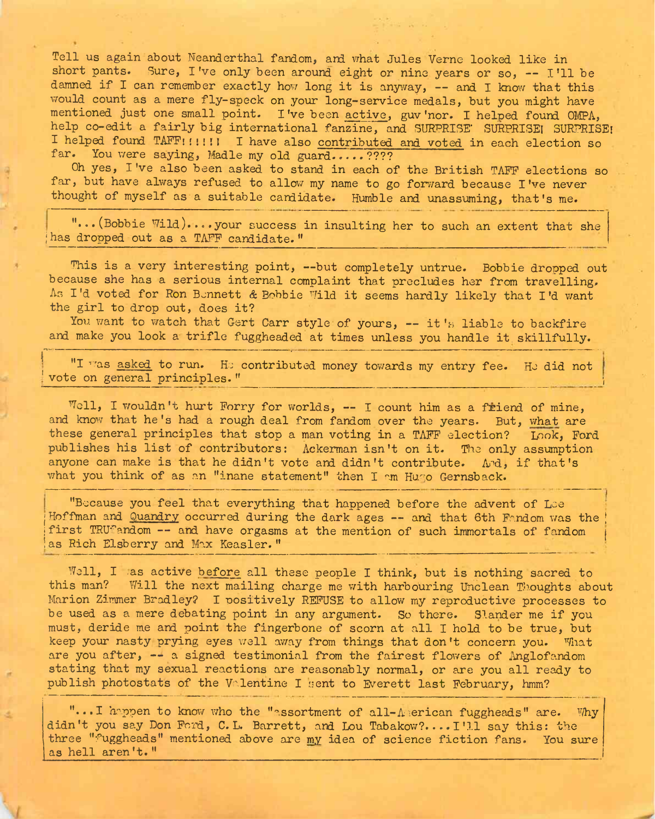Tell us again about Neanderthal fandom, and what Jules Verne looked like in short pants. Sure, I've only been around eight or nine years or so, -- I'll be damned if I can remember exactly how long it is anyway, — and I know that this would count as a mere fly-speck on your long-service medals, but you might have mentioned just one small point. I've been active, guv'nor. I helped found OMPA, help co-edit a fairly big international fanzine, and SURPRISE' SURPRISE! SURPRISE! I helped found TAFF!!!!!! I have also contributed and voted in each election so far. You were saying, Madle my old guard.....????

Oh yes, I've also been asked to stand in each of the British TAFF elections so far, but have always refused to allow my name to go forward because I've never thought of myself as a suitable candidate. Humble and unassuming, that's me.

"...(Bobbie Wild)....your success in insulting her to such an extent that she has dropped out as a TAFF candidate."

This is a very interesting point, --but completely untrue. Bobbie dropped out because she has a serious internal complaint that precludes her from travelling, As I'd voted for Ron Bennett & Bobbie Wild it seems hardly likely that I'd want the girl to drop out, does it?

You want to watch that Gert Carr style of yours, -- it's liable to backfire and make you look a trifle fuggheaded at times unless you handle it skillfully. and make you look a trifle fuggheaded at times unless you handle it skillfully.

"I was asked to run. He contributed money towards my entry fee. He did not vote on general principles."

Well, I wouldn't hurt Forry for worlds,  $-$  I count him as a friend of mine, and know that he's had a rough deal from fandom over the years. But, what are these general principles that stop a man voting in a TAFF election? Look, Ford publishes his list of contributors: Ackerman isn't on it. The only assumption anyone can make is that he didn't vote and didn't contribute. And, if that's what you think of as an "inane statement" then I am Hugo Gernsback.

"Because you feel that everything that happened before the advent of Lee Hoffman and Quandry occurred during the dark ages -- and that 6th Fandom was the first TRUfandom -- and have orgasms at the mention of such immortals of fandom as Rich Elsberry and Max Keasler."

Well, I as active before all these people I think, but is nothing sacred to this man? Will the next mailing charge me with harbouring Unclean Thoughts about Marion Zimmer Bradley? I positively REFUSE to allow my reproductive processes to be used as a mere debating point in any argument. So there. Slander me if you must, deride me and point the fingerbone of scorn at all I hold to be true, but keep your nasty prying eyes well away from things that don't concern you. What are you after, -- a signed testimonial from the fairest flowers of Anglofandom stating that my sexual reactions are reasonably normal, or are you all ready to publish photostats of the Valentine I sent to Everett last February, hmm?

"... I happen to know who the "assortment of all-American fuggheads" are. Why didn't you say Don Ford, C. L. Barrett, and Lou Tabakow?.... I'll say this: the three "Fuggheads" mentioned above are my idea of science fiction fans. You sure as hell aren't." including above are my mea of science including ans. Tou sure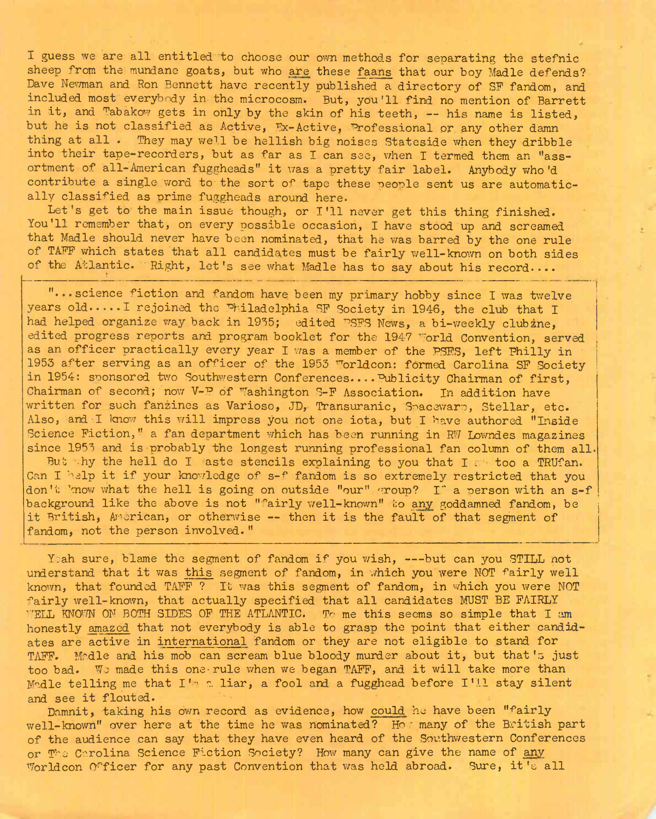I guess we are all entitled to choose our own methods for separating the stefnic sheep from the mundane goats, but who are these faans that our boy Madle defends? Dave Newman and Ron Bennett have recently published a directory of SF fandom, and included most everybody in-the microcosm. But, you'll find no mention of Barrett in it, and Tabakow gets in only by the skin of his teeth, — his name is listed, but he is not classified as Active, Ex-Active, Professional or any other damn thing at all. They may well be hellish big noises Stateside when they dribble into their tape-recorders, but as far as I can see, when I termed them an "assortment of all-American fuggheads" it was <sup>a</sup> pretty fair label. Anybody who'd contribute a single, word to the sort of tape these people sent us are automatically classified as prime fuggheads around here.

Let's get to the main issue though, or I'll never get this thing finished. You'll remember that, on every possible occasion, I have stood up and screamed that Madle should never have been nominated, that he was barred by the one rule of TAFF which states that all candidates must be fairly well-known on both sides of the Atlantic. Right, let's see what Madle has to say about his record....

"...science fiction and fandom have been my primary hobby since I was twelve years old..... I rejoined the Philadelphia SF Society in 1946, the club that I had helped organize way back in 1935; edited PSFS News, a bi-weekly clubzne, edited progress reports and program booklet for the 1947 World Convention, served as an officer practically every year I was a member of the PSES, left Philly in 1953 after serving as an officer of the 1953 "orldcon: formed Carolina SF Society in 1954: sponsored two Southwestern Conferences.... Publicity Chairman of first, Chairman of second; now V-P óf Washington S-F Association. In addition have written for such fanzines as Varioso, JD, Transuranic, Spacewarp, Stellar, etc. Also, and I know this will impress you not one iota, but I have authored "Inside Science Fiction," a fan department which has been running in RW Lowndes magazines since <sup>1953</sup> and is probably the longest running professional fan column of them all. But hy the hell do I aste stencils explaining to you that I a too a TRUfan. Can I help it if your knowledge of s-f fandom is so extremely restricted that you don't 'mow what the hell is going on outside "our" group? I<sup>e</sup> a person with an s-f background like the above is not "fairly well-known" to any goddamned fandom, be it British, American, or otherwise — then it is the fault of that segment of fandom, not the person involved."

Yeah sure, blame the segment of fandom if you wish, --- but can you STILL not understand that it was this segment of fandom, in which you were NOT fairly well known, that founded TAFF ? It was this segment of fandom, in which you were NOT fairly well-known, that actually specified that all candidates MUST BE FAIRLY ''ELL KNOWN ON BOTH SIDES OF THE ATLANTIC. To me this seems so simple that I am honestly amazed that not everybody is able to grasp the point that either candidates are active in international fandom or they are not eligible to stand for TAFF. Medle and his mob can scream blue bloody murder about it, but that's just too bad. Wo made this one-rule when we began TAFF, and it will take more than Madle telling me that  $I^{\prime}$  a liar, a fool and a fugghead before I'll stay silent and see it flouted.

Damnit, taking his own record as evidence, how could he have been "fairly well-known" over here at the time he was nominated? How many of the British part of the audience can say that they have even heard of the Southwestern Conferences or The Carolina Science Fiction Society? How many can give the name of any Worldcon Officer for any past Convention that was held abroad. Sure, it's all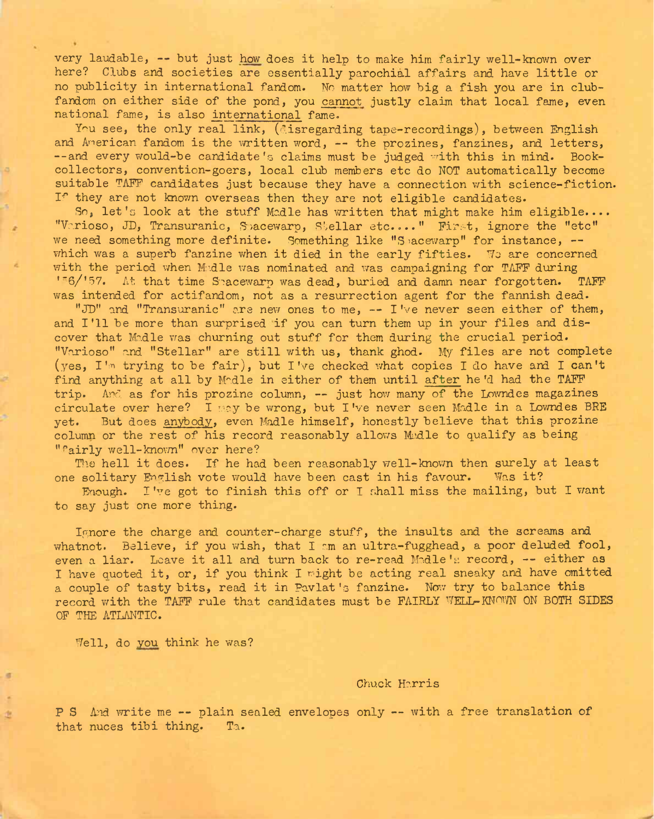very laudable, — but just how does it help to make him fairly well-known over here? Clubs and societies are essentially parochial affairs and have little or no publicity in international fandom. No matter how big a fish you are in clubfandom on either side of the pond, you cannot justly claim that local fame, even national fame, is also international fame.

You see, the only real link, (disregarding tape-recordings), between English and American fandom is the written word, -- the prozines, fanzines, and letters, --and every would-be candidate's claims must be judged with this in mind. Bookcollectors, convention-goers, local club members etc do NOT automatically become suitable TAFF candidates just because they have a connection with science-fiction. If they are not known overseas then they are not eligible candidates.

So, let's look at the stuff Madle has written that might make him eligible.... "Vc.rioso, JD, Transuranic, Snacewarp, Stellar etc...." First, ignore the "etc" we need something more definite. Something like "Spacewarp" for instance, -which was a superb fanzine when it died in the early fifties. We are concerned with the period when M:dle was nominated and was campaigning for TAFF during  $'$ "6/'57. At that time Smacewarp was dead, buried and damn near forgotten. TAFF was intended for actifandom, not as a resurrection agent for the fannish dead.

"JD" and "Transuranic" are new ones to me, — I've never seen either of them, and I'll be more than surprised if you can turn them up in your files and discover that Madle was churning out stuff for them during the crucial period. "Varioso" and "Stellar" are still with us, thank ghod. My files are not complete (yes, I'm trying to be fair), but I've checked what copies I do have and I can't find anything at all by Malle in either of them until after he'd had the TAFF trip. And as for his prozine column, -- just how many of the Lowndes magazines circulate over here? I may be wrong, but I've never seen Madle in a Lowndes BRE<br>vet. But does anybody, even Madle himself, honestly believe that this prozine But does anybody, even Madle himself, honestly believe that this prozine column or the rest of his record reasonably allows Madle to qualify as being "fairly well-known" over here?

The hell it does. If he had been reasonably well-known then surely at least solitary English yote would have been cast in his favour. Was it? one solitary English vote would have been cast in his favour.

Enough. I've got to finish this off or I shall miss the mailing, but I want to say just one more thing.

Ignore the charge and counter-charge stuff, the insults and the screams and whatnot. Believe, if you wish, that I am an ultra-fugghead, a poor deluded fool, even a liar. Leave it all and turn back to re-read Madle's record, -- either as I have quoted it, or, if you think I might be acting real sneaky and have omitted <sup>a</sup> couple of tasty bits, read it in Pavlat's fanzine. Now try to balance this record with the TAFF rule that candidates must be FAIRLY WELL-KNOWN ON BOTH SIDES OF THE ATLANTIC.

Well, do you think he was?

## Chuck Harris

P S And write me -- plain sealed envelopes only -- with a free translation of that nuces tibi thing. Ta.